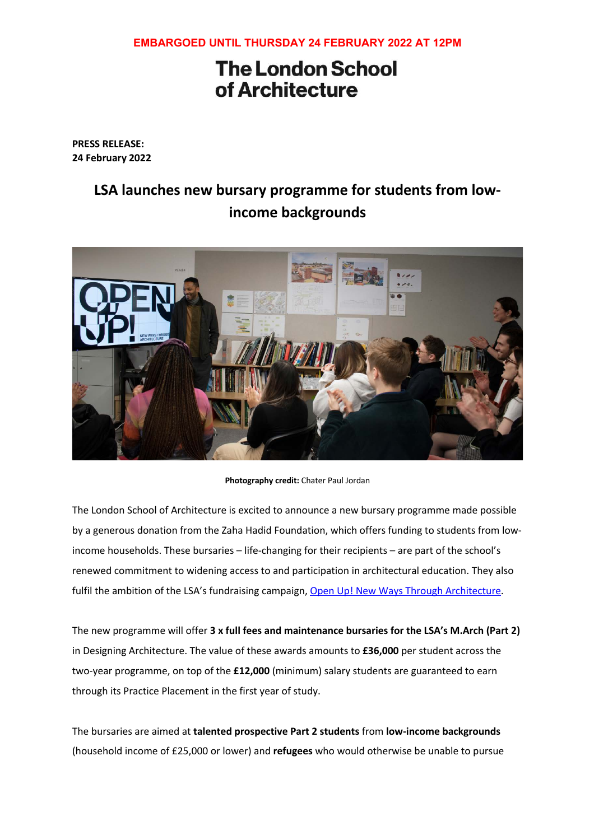## **EMBARGOED UNTIL THURSDAY 24 FEBRUARY 2022 AT 12PM**

## **The London School** of Architecture

**PRESS RELEASE: 24 February 2022**

## **LSA launches new bursary programme for students from lowincome backgrounds**



**Photography credit:** Chater Paul Jordan

The London School of Architecture is excited to announce a new bursary programme made possible by a generous donation from the Zaha Hadid Foundation, which offers funding to students from lowincome households. These bursaries – life-changing for their recipients – are part of the school's renewed commitment to widening access to and participation in architectural education. They also fulfil the ambition of the LSA's fundraising campaign, Open Up! New Ways Through Architecture.

The new programme will offer **3 x full fees and maintenance bursaries for the LSA's M.Arch (Part 2)** in Designing Architecture. The value of these awards amounts to **£36,000** per student across the two-year programme, on top of the **£12,000** (minimum) salary students are guaranteed to earn through its Practice Placement in the first year of study.

The bursaries are aimed at **talented prospective Part 2 students** from **low-income backgrounds** (household income of £25,000 or lower) and **refugees** who would otherwise be unable to pursue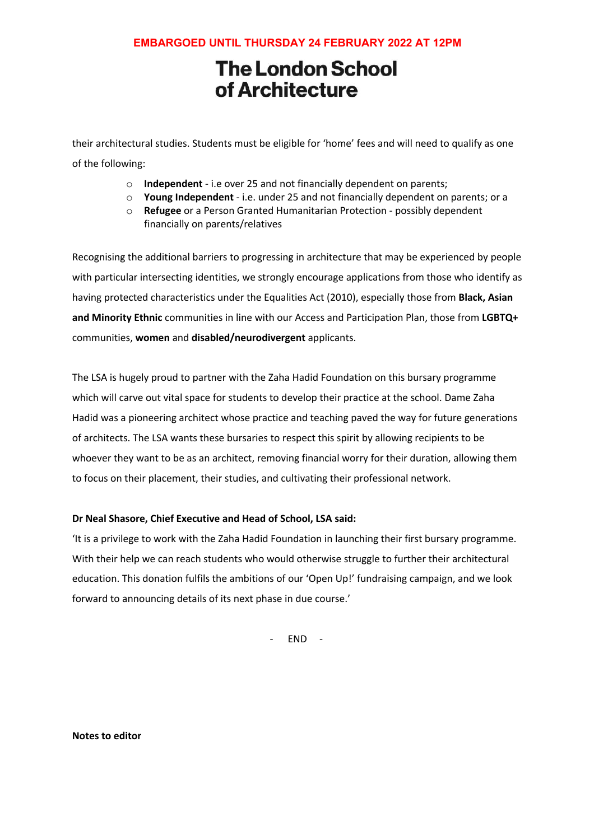## **EMBARGOED UNTIL THURSDAY 24 FEBRUARY 2022 AT 12PM**

# **The London School** of Architecture

their architectural studies. Students must be eligible for 'home' fees and will need to qualify as one of the following:

- o **Independent** i.e over 25 and not financially dependent on parents;
- o **Young Independent** i.e. under 25 and not financially dependent on parents; or a
- o **Refugee** or a Person Granted Humanitarian Protection possibly dependent financially on parents/relatives

Recognising the additional barriers to progressing in architecture that may be experienced by people with particular intersecting identities, we strongly encourage applications from those who identify as having protected characteristics under the Equalities Act (2010), especially those from **Black, Asian and Minority Ethnic** communities in line with our Access and Participation Plan, those from **LGBTQ+** communities, **women** and **disabled/neurodivergent** applicants.

The LSA is hugely proud to partner with the Zaha Hadid Foundation on this bursary programme which will carve out vital space for students to develop their practice at the school. Dame Zaha Hadid was a pioneering architect whose practice and teaching paved the way for future generations of architects. The LSA wants these bursaries to respect this spirit by allowing recipients to be whoever they want to be as an architect, removing financial worry for their duration, allowing them to focus on their placement, their studies, and cultivating their professional network.

#### **Dr Neal Shasore, Chief Executive and Head of School, LSA said:**

'It is a privilege to work with the Zaha Hadid Foundation in launching their first bursary programme. With their help we can reach students who would otherwise struggle to further their architectural education. This donation fulfils the ambitions of our 'Open Up!' fundraising campaign, and we look forward to announcing details of its next phase in due course.'

- END -

**Notes to editor**